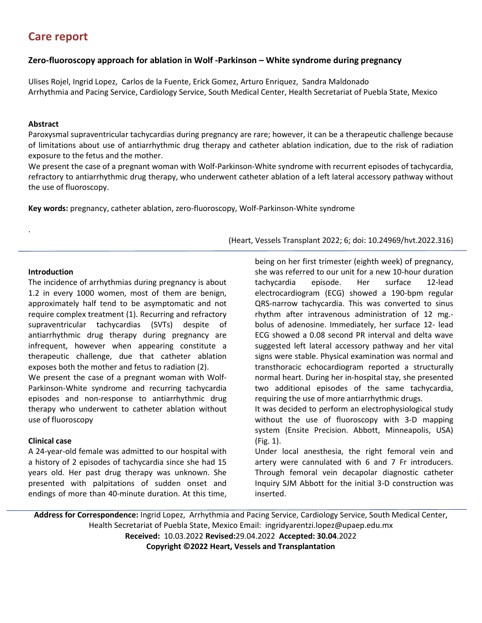# **Care report**

## **Zero-fluoroscopy approach for ablation in Wolf -Parkinson – White syndrome during pregnancy**

Ulises Rojel, Ingrid Lopez, Carlos de la Fuente, Erick Gomez, Arturo Enriquez, Sandra Maldonado Arrhythmia and Pacing Service, Cardiology Service, South Medical Center, Health Secretariat of Puebla State, Mexico

### **Abstract**

Paroxysmal supraventricular tachycardias during pregnancy are rare; however, it can be a therapeutic challenge because of limitations about use of antiarrhythmic drug therapy and catheter ablation indication, due to the risk of radiation exposure to the fetus and the mother.

We present the case of a pregnant woman with Wolf-Parkinson-White syndrome with recurrent episodes of tachycardia, refractory to antiarrhythmic drug therapy, who underwent catheter ablation of a left lateral accessory pathway without the use of fluoroscopy.

**Key words:** pregnancy, catheter ablation, zero-fluoroscopy, Wolf-Parkinson-White syndrome

## **Introduction**

.

The incidence of arrhythmias during pregnancy is about 1.2 in every 1000 women, most of them are benign, approximately half tend to be asymptomatic and not require complex treatment (1). Recurring and refractory supraventricular tachycardias (SVTs) despite of antiarrhythmic drug therapy during pregnancy are infrequent, however when appearing constitute a therapeutic challenge, due that catheter ablation exposes both the mother and fetus to radiation (2).

We present the case of a pregnant woman with Wolf-Parkinson-White syndrome and recurring tachycardia episodes and non-response to antiarrhythmic drug therapy who underwent to catheter ablation without use of fluoroscopy

## **Clinical case**

A 24-year-old female was admitted to our hospital with a history of 2 episodes of tachycardia since she had 15 years old. Her past drug therapy was unknown. She presented with palpitations of sudden onset and endings of more than 40-minute duration. At this time,

(Heart, Vessels Transplant 2022; 6; doi: 10.24969/hvt.2022.316)

being on her first trimester (eighth week) of pregnancy, she was referred to our unit for a new 10-hour duration tachycardia episode. Her surface 12-lead electrocardiogram (ECG) showed a 190-bpm regular QRS-narrow tachycardia. This was converted to sinus rhythm after intravenous administration of 12 mg. bolus of adenosine. Immediately, her surface 12- lead ECG showed a 0.08 second PR interval and delta wave suggested left lateral accessory pathway and her vital signs were stable. Physical examination was normal and transthoracic echocardiogram reported a structurally normal heart. During her in-hospital stay, she presented two additional episodes of the same tachycardia, requiring the use of more antiarrhythmic drugs.

It was decided to perform an electrophysiological study without the use of fluoroscopy with 3-D mapping system (Ensite Precision. Abbott, Minneapolis, USA) (Fig. 1).

Under local anesthesia, the right femoral vein and artery were cannulated with 6 and 7 Fr introducers. Through femoral vein decapolar diagnostic catheter Inquiry SJM Abbott for the initial 3-D construction was inserted.

**Address for Correspondence:** Ingrid Lopez, Arrhythmia and Pacing Service, Cardiology Service, South Medical Center, Health Secretariat of Puebla State, Mexico Email: ingridyarentzi.lopez@upaep.edu.mx **Received:** 10.03.2022 **Revised:**29.04.2022 **Accepted: 30.04**.2022 **Copyright ©2022 Heart, Vessels and Transplantation**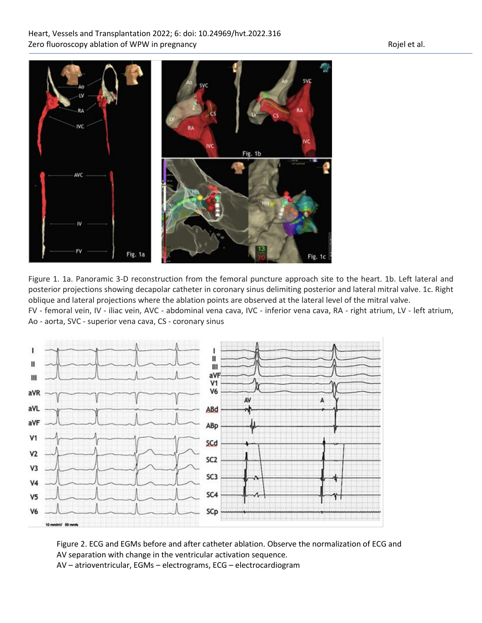## Heart, Vessels and Transplantation 2022; 6: doi: 10.24969/hvt.2022.316 Zero fluoroscopy ablation of WPW in pregnancy and the state of the Rojel et al.



Figure 1. 1a. Panoramic 3-D reconstruction from the femoral puncture approach site to the heart. 1b. Left lateral and posterior projections showing decapolar catheter in coronary sinus delimiting posterior and lateral mitral valve. 1c. Right oblique and lateral projections where the ablation points are observed at the lateral level of the mitral valve.

FV - femoral vein, IV - iliac vein, AVC - abdominal vena cava, IVC - inferior vena cava, RA - right atrium, LV - left atrium, Ao - aorta, SVC - superior vena cava, CS - coronary sinus



Figure 2. ECG and EGMs before and after catheter ablation. Observe the normalization of ECG and AV separation with change in the ventricular activation sequence. AV – atrioventricular, EGMs – electrograms, ECG – electrocardiogram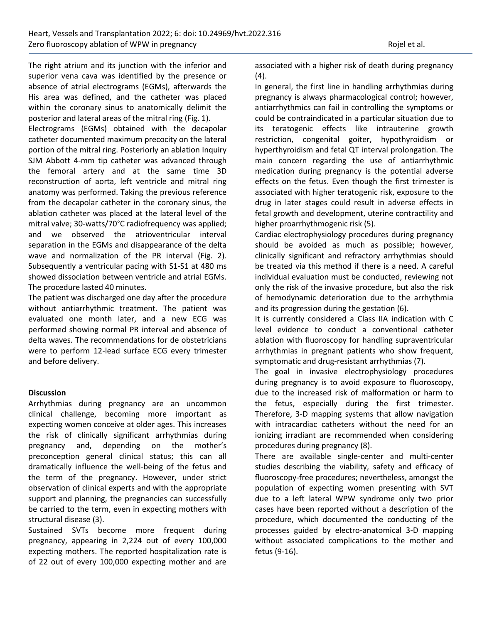The right atrium and its junction with the inferior and superior vena cava was identified by the presence or absence of atrial electrograms (EGMs), afterwards the His area was defined, and the catheter was placed within the coronary sinus to anatomically delimit the posterior and lateral areas of the mitral ring (Fig. 1).

Electrograms (EGMs) obtained with the decapolar catheter documented maximum precocity on the lateral portion of the mitral ring. Posteriorly an ablation Inquiry SJM Abbott 4-mm tip catheter was advanced through the femoral artery and at the same time 3D reconstruction of aorta, left ventricle and mitral ring anatomy was performed. Taking the previous reference from the decapolar catheter in the coronary sinus, the ablation catheter was placed at the lateral level of the mitral valve; 30-watts/70°C radiofrequency was applied; and we observed the atrioventricular interval separation in the EGMs and disappearance of the delta wave and normalization of the PR interval (Fig. 2). Subsequently a ventricular pacing with S1-S1 at 480 ms showed dissociation between ventricle and atrial EGMs. The procedure lasted 40 minutes.

The patient was discharged one day after the procedure without antiarrhythmic treatment. The patient was evaluated one month later, and a new ECG was performed showing normal PR interval and absence of delta waves. The recommendations for de obstetricians were to perform 12-lead surface ECG every trimester and before delivery.

#### **Discussion**

Arrhythmias during pregnancy are an uncommon clinical challenge, becoming more important as expecting women conceive at older ages. This increases the risk of clinically significant arrhythmias during pregnancy and, depending on the mother's preconception general clinical status; this can all dramatically influence the well-being of the fetus and the term of the pregnancy. However, under strict observation of clinical experts and with the appropriate support and planning, the pregnancies can successfully be carried to the term, even in expecting mothers with structural disease (3).

Sustained SVTs become more frequent during pregnancy, appearing in 2,224 out of every 100,000 expecting mothers. The reported hospitalization rate is of 22 out of every 100,000 expecting mother and are associated with a higher risk of death during pregnancy (4).

In general, the first line in handling arrhythmias during pregnancy is always pharmacological control; however, antiarrhythmics can fail in controlling the symptoms or could be contraindicated in a particular situation due to its teratogenic effects like intrauterine growth restriction, congenital goiter, hypothyroidism or hyperthyroidism and fetal QT interval prolongation. The main concern regarding the use of antiarrhythmic medication during pregnancy is the potential adverse effects on the fetus. Even though the first trimester is associated with higher teratogenic risk, exposure to the drug in later stages could result in adverse effects in fetal growth and development, uterine contractility and higher proarrhythmogenic risk (5).

Cardiac electrophysiology procedures during pregnancy should be avoided as much as possible; however, clinically significant and refractory arrhythmias should be treated via this method if there is a need. A careful individual evaluation must be conducted, reviewing not only the risk of the invasive procedure, but also the risk of hemodynamic deterioration due to the arrhythmia and its progression during the gestation (6).

It is currently considered a Class IIA indication with C level evidence to conduct a conventional catheter ablation with fluoroscopy for handling supraventricular arrhythmias in pregnant patients who show frequent, symptomatic and drug-resistant arrhythmias (7).

The goal in invasive electrophysiology procedures during pregnancy is to avoid exposure to fluoroscopy, due to the increased risk of malformation or harm to the fetus, especially during the first trimester. Therefore, 3-D mapping systems that allow navigation with intracardiac catheters without the need for an ionizing irradiant are recommended when considering procedures during pregnancy (8).

There are available single-center and multi-center studies describing the viability, safety and efficacy of fluoroscopy-free procedures; nevertheless, amongst the population of expecting women presenting with SVT due to a left lateral WPW syndrome only two prior cases have been reported without a description of the procedure, which documented the conducting of the processes guided by electro-anatomical 3-D mapping without associated complications to the mother and fetus (9-16).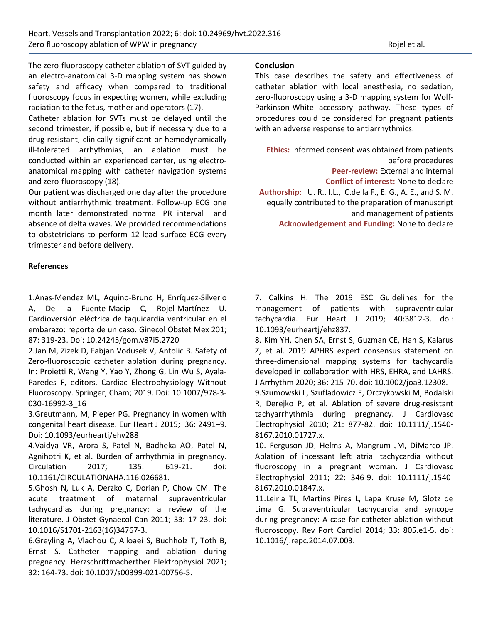The zero-fluoroscopy catheter ablation of SVT guided by an electro-anatomical 3-D mapping system has shown safety and efficacy when compared to traditional fluoroscopy focus in expecting women, while excluding radiation to the fetus, mother and operators (17).

Catheter ablation for SVTs must be delayed until the second trimester, if possible, but if necessary due to a drug-resistant, clinically significant or hemodynamically ill-tolerated arrhythmias, an ablation must be conducted within an experienced center, using electroanatomical mapping with catheter navigation systems and zero-fluoroscopy (18).

Our patient was discharged one day after the procedure without antiarrhythmic treatment. Follow-up ECG one month later demonstrated normal PR interval and absence of delta waves. We provided recommendations to obstetricians to perform 12-lead surface ECG every trimester and before delivery.

#### **References**

1.Anas-Mendez ML, Aquino-Bruno H, Enríquez-Silverio A, De la Fuente-Macip C, Rojel-Martínez U. Cardioversión eléctrica de taquicardia ventricular en el embarazo: reporte de un caso. Ginecol Obstet Mex 201; 87: 319-23. Doi: 10.24245/gom.v87i5.2720

2.Jan M, Zizek D, Fabjan Vodusek V, Antolic B. Safety of Zero-fluoroscopic catheter ablation during pregnancy. In: Proietti R, Wang Y, Yao Y, Zhong G, Lin Wu S, Ayala-Paredes F, editors. Cardiac Electrophysiology Without Fluoroscopy. Springer, Cham; 2019. Doi: 10.1007/978-3- 030-16992-3\_16

3.Greutmann, M, Pieper PG. Pregnancy in women with congenital heart disease. Eur Heart J 2015; 36: 2491–9. Doi: 10.1093/eurheartj/ehv288

4.Vaidya VR, Arora S, Patel N, Badheka AO, Patel N, Agnihotri K, et al. Burden of arrhythmia in pregnancy. Circulation 2017; 135: 619-21. doi: 10.1161/CIRCULATIONAHA.116.026681.

5.Ghosh N, Luk A, Derzko C, Dorian P, Chow CM. The acute treatment of maternal supraventricular tachycardias during pregnancy: a review of the literature. J Obstet Gynaecol Can 2011; 33: 17-23. doi: 10.1016/S1701-2163(16)34767-3.

6.Greyling A, Vlachou C, Ailoaei S, Buchholz T, Toth B, Ernst S. Catheter mapping and ablation during pregnancy. Herzschrittmacherther Elektrophysiol 2021; 32: 164-73. doi: 10.1007/s00399-021-00756-5.

#### **Conclusion**

This case describes the safety and effectiveness of catheter ablation with local anesthesia, no sedation, zero-fluoroscopy using a 3-D mapping system for Wolf-Parkinson-White accessory pathway. These types of procedures could be considered for pregnant patients with an adverse response to antiarrhythmics.

**Ethics:** Informed consent was obtained from patients before procedures **Peer-review:** External and internal **Conflict of interest:** None to declare **Authorship:** U. R., I.L., C.de la F., E. G., A. E., and S. M. equally contributed to the preparation of manuscript and management of patients **Acknowledgement and Funding:** None to declare

7. Calkins H. The 2019 ESC Guidelines for the management of patients with supraventricular tachycardia. Eur Heart J 2019; 40:3812-3. doi: 10.1093/eurheartj/ehz837.

8. Kim YH, Chen SA, Ernst S, Guzman CE, Han S, Kalarus Z, et al. 2019 APHRS expert consensus statement on three-dimensional mapping systems for tachycardia developed in collaboration with HRS, EHRA, and LAHRS. J Arrhythm 2020; 36: 215-70. doi: 10.1002/joa3.12308.

9.Szumowski L, Szufladowicz E, Orczykowski M, Bodalski R, Derejko P, et al. Ablation of severe drug-resistant tachyarrhythmia during pregnancy. J Cardiovasc Electrophysiol 2010; 21: 877-82. doi: 10.1111/j.1540- 8167.2010.01727.x.

10. Ferguson JD, Helms A, Mangrum JM, DiMarco JP. Ablation of incessant left atrial tachycardia without fluoroscopy in a pregnant woman. J Cardiovasc Electrophysiol 2011; 22: 346-9. doi: 10.1111/j.1540- 8167.2010.01847.x.

11.Leiria TL, Martins Pires L, Lapa Kruse M, Glotz de Lima G. Supraventricular tachycardia and syncope during pregnancy: A case for catheter ablation without fluoroscopy. Rev Port Cardiol 2014; 33: 805.e1-5. doi: 10.1016/j.repc.2014.07.003.